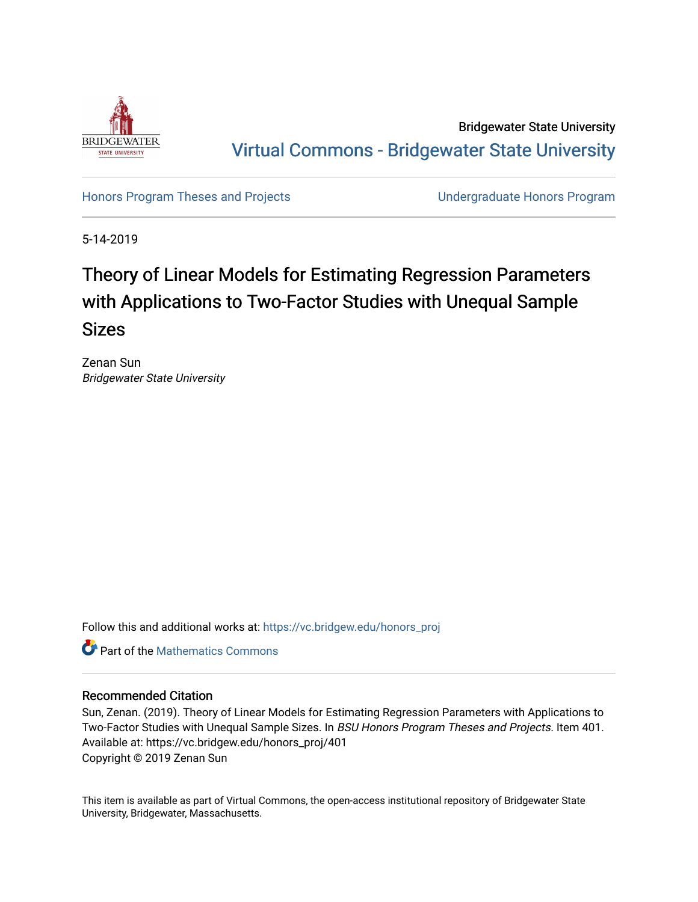

Bridgewater State University [Virtual Commons - Bridgewater State University](https://vc.bridgew.edu/) 

[Honors Program Theses and Projects](https://vc.bridgew.edu/honors_proj) [Undergraduate Honors Program](https://vc.bridgew.edu/honors) 

5-14-2019

# Theory of Linear Models for Estimating Regression Parameters with Applications to Two-Factor Studies with Unequal Sample Sizes

Zenan Sun Bridgewater State University

Follow this and additional works at: [https://vc.bridgew.edu/honors\\_proj](https://vc.bridgew.edu/honors_proj?utm_source=vc.bridgew.edu%2Fhonors_proj%2F401&utm_medium=PDF&utm_campaign=PDFCoverPages)



#### Recommended Citation

Sun, Zenan. (2019). Theory of Linear Models for Estimating Regression Parameters with Applications to Two-Factor Studies with Unequal Sample Sizes. In BSU Honors Program Theses and Projects. Item 401. Available at: https://vc.bridgew.edu/honors\_proj/401 Copyright © 2019 Zenan Sun

This item is available as part of Virtual Commons, the open-access institutional repository of Bridgewater State University, Bridgewater, Massachusetts.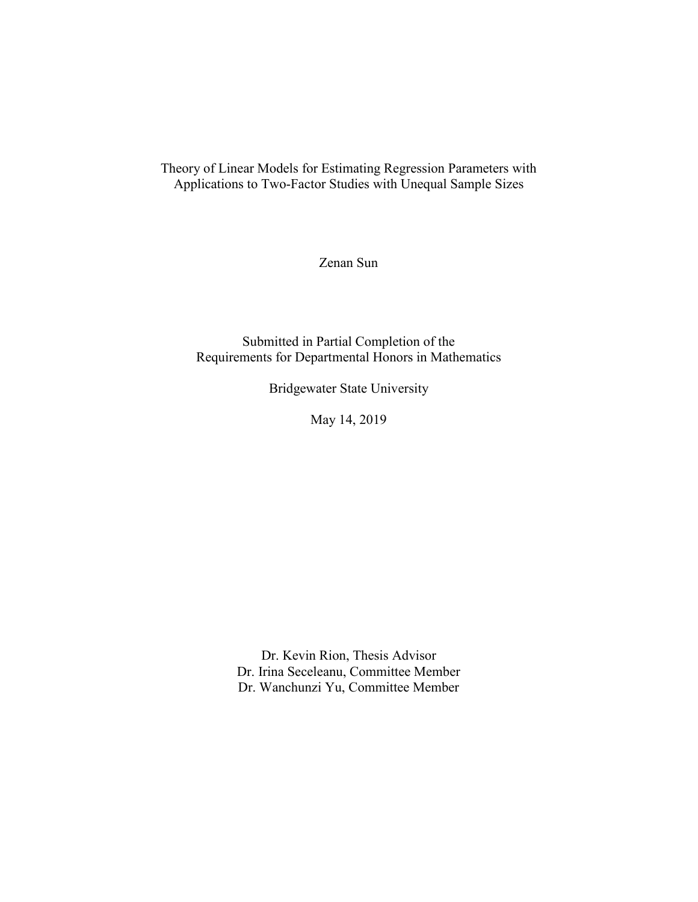Theory of Linear Models for Estimating Regression Parameters with Applications to Two-Factor Studies with Unequal Sample Sizes

Zenan Sun

Submitted in Partial Completion of the Requirements for Departmental Honors in Mathematics

Bridgewater State University

May 14, 2019

Dr. Kevin Rion, Thesis Advisor Dr. Irina Seceleanu, Committee Member Dr. Wanchunzi Yu, Committee Member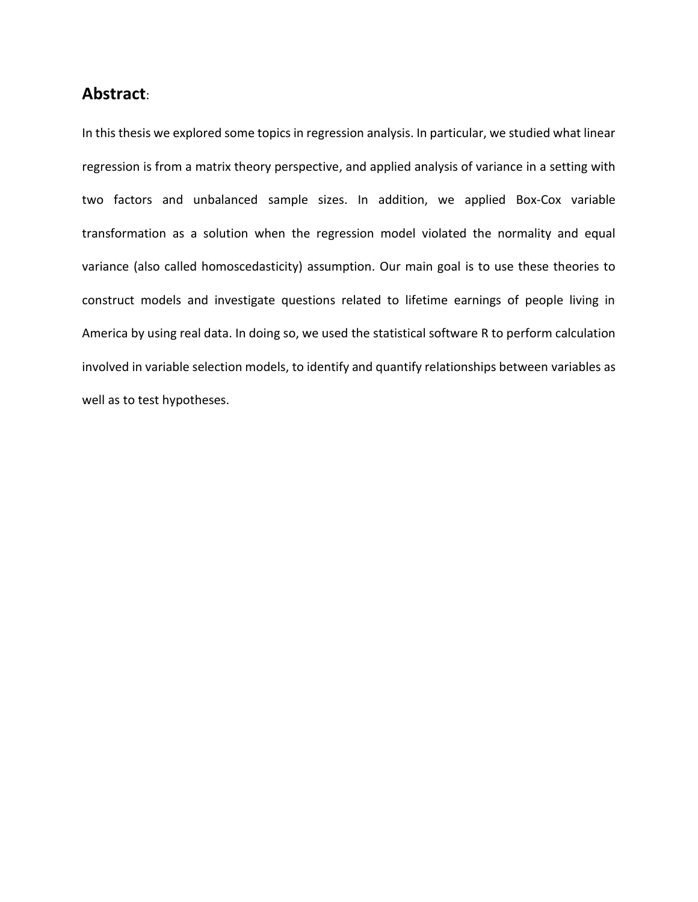### **Abstract**:

In this thesis we explored some topics in regression analysis. In particular, we studied what linear regression is from a matrix theory perspective, and applied analysis of variance in a setting with two factors and unbalanced sample sizes. In addition, we applied Box-Cox variable transformation as a solution when the regression model violated the normality and equal variance (also called homoscedasticity) assumption. Our main goal is to use these theories to construct models and investigate questions related to lifetime earnings of people living in America by using real data. In doing so, we used the statistical software R to perform calculation involved in variable selection models, to identify and quantify relationships between variables as well as to test hypotheses.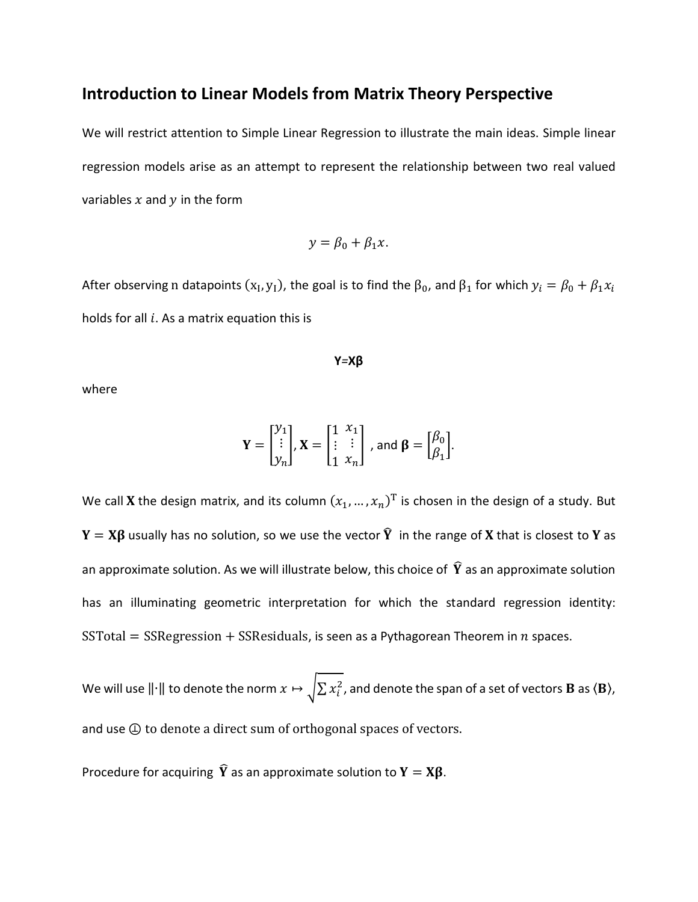### **Introduction to Linear Models from Matrix Theory Perspective**

We will restrict attention to Simple Linear Regression to illustrate the main ideas. Simple linear regression models arise as an attempt to represent the relationship between two real valued variables  $x$  and  $y$  in the form

$$
y = \beta_0 + \beta_1 x.
$$

After observing  $n$  datapoints  $(x_I, y_I)$ , the goal is to find the  $\beta_0$ , and  $\beta_1$  for which  $y_i = \beta_0 + \beta_1 x_i$ holds for all  $i$ . As a matrix equation this is

$$
Y = X\beta
$$

where

$$
\mathbf{Y} = \begin{bmatrix} y_1 \\ \vdots \\ y_n \end{bmatrix}, \mathbf{X} = \begin{bmatrix} 1 & x_1 \\ \vdots & \vdots \\ 1 & x_n \end{bmatrix}, \text{ and } \boldsymbol{\beta} = \begin{bmatrix} \beta_0 \\ \beta_1 \end{bmatrix}.
$$

We call **X** the design matrix, and its column  $(x_1, ..., x_n)^T$  is chosen in the design of a study. But  $Y = X\beta$  usually has no solution, so we use the vector  $\hat{Y}$  in the range of X that is closest to Y as an approximate solution. As we will illustrate below, this choice of  $\widehat{Y}$  as an approximate solution has an illuminating geometric interpretation for which the standard regression identity: SSTotal = SSRegression + SSResiduals, is seen as a Pythagorean Theorem in  $n$  spaces.

We will use  $\|\cdot\|$  to denote the norm  $x\mapsto \sqrt{\sum x_i^2}$ , and denote the span of a set of vectors **B** as ⟨**B**⟩, and use  $\bigoplus$  to denote a direct sum of orthogonal spaces of vectors.

Procedure for acquiring  $\hat{Y}$  as an approximate solution to  $Y = X\beta$ .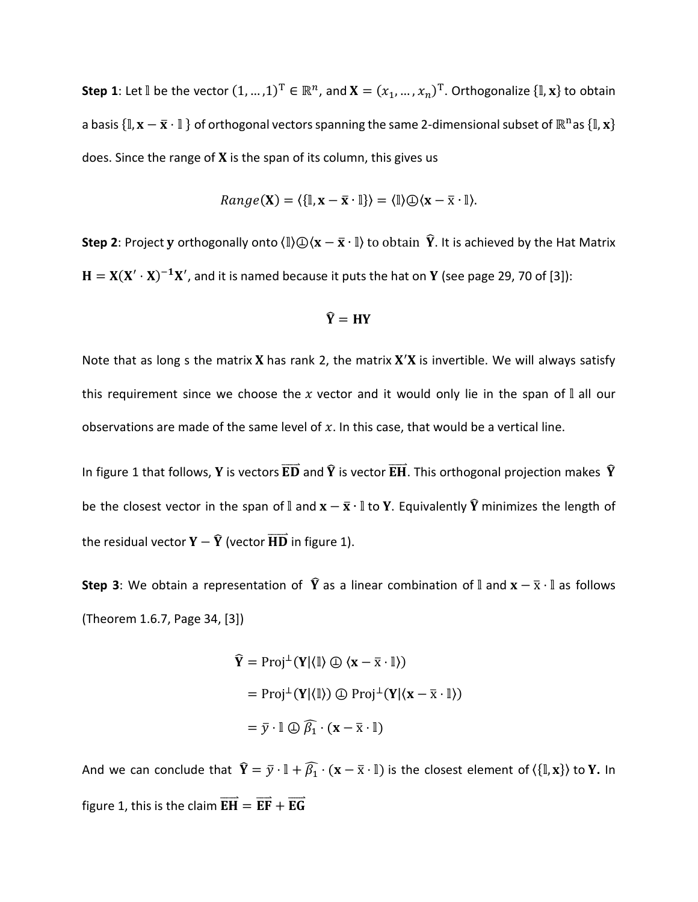**Step 1**: Let  $\mathbb{I}$  be the vector  $(1, ..., 1)^T \in \mathbb{R}^n$ , and  $\mathbf{X} = (x_1, ..., x_n)^T$ . Orthogonalize  $\{\mathbb{I}, \mathbf{x}\}$  to obtain a basis  $\{\mathbb{I},\mathbf{x}-\bar{\mathbf{x}}\cdot\mathbb{I}\}$  of orthogonal vectors spanning the same 2-dimensional subset of  $\mathbb{R}^n$ as  $\{\mathbb{I},\mathbf{x}\}$ does. Since the range of  $X$  is the span of its column, this gives us

$$
Range(\mathbf{X}) = \langle \{\mathbb{I}, \mathbf{x} - \overline{\mathbf{x}} \cdot \mathbb{I}\} \rangle = \langle \mathbb{I} \rangle \oplus \langle \mathbf{x} - \overline{\mathbf{x}} \cdot \mathbb{I} \rangle.
$$

**Step 2**: Project **y** orthogonally onto  $\langle \mathbb{I} \rangle \oplus \langle \mathbf{x} - \bar{\mathbf{x}} \cdot \mathbb{I} \rangle$  to obtain  $\hat{\mathbf{Y}}$ . It is achieved by the Hat Matrix  $H = X(X' \cdot X)^{-1}X'$ , and it is named because it puts the hat on Y (see page 29, 70 of [3]):

$$
\widehat{\mathbf{Y}} = \mathbf{H}\mathbf{Y}
$$

Note that as long s the matrix **X** has rank 2, the matrix  $X'X$  is invertible. We will always satisfy this requirement since we choose the  $x$  vector and it would only lie in the span of  $\mathbb I$  all our observations are made of the same level of  $x$ . In this case, that would be a vertical line.

In figure 1 that follows, Y is vectors  $\overline{ED}$  and  $\hat{Y}$  is vector  $\overline{EH}$ . This orthogonal projection makes  $\hat{Y}$ be the closest vector in the span of  $\mathbb I$  and  ${\bf x}-\bar{\bf x}\cdot\mathbb I$  to Y. Equivalently  $\widehat{\bf Y}$  minimizes the length of the residual vector  $\overline{Y} - \widehat{Y}$  (vector  $\overrightarrow{HD}$  in figure 1).

**Step 3**: We obtain a representation of  $\hat{Y}$  as a linear combination of  $\hat{\mathbb{I}}$  and  $\mathbf{x} - \bar{\mathbf{x}} \cdot \mathbb{I}$  as follows (Theorem 1.6.7, Page 34, [3])

$$
\hat{\mathbf{Y}} = \text{Proj}^{\perp}(\mathbf{Y}|\langle \mathbb{I} \rangle \oplus \langle \mathbf{x} - \overline{\mathbf{x}} \cdot \mathbb{I} \rangle)
$$
  
=  $\text{Proj}^{\perp}(\mathbf{Y}|\langle \mathbb{I} \rangle) \oplus \text{Proj}^{\perp}(\mathbf{Y}|\langle \mathbf{x} - \overline{\mathbf{x}} \cdot \mathbb{I} \rangle)$   
=  $\overline{y} \cdot \mathbb{I} \oplus \widehat{\beta_1} \cdot (\mathbf{x} - \overline{\mathbf{x}} \cdot \mathbb{I})$ 

And we can conclude that  $\hat{Y} = \bar{y} \cdot \mathbb{I} + \hat{\beta_1} \cdot (x - \bar{x} \cdot \mathbb{I})$  is the closest element of  $\langle \{\mathbb{I}, x\} \rangle$  to Y. In figure 1, this is the claim  $\overrightarrow{EH} = \overrightarrow{EF} + \overrightarrow{EG}$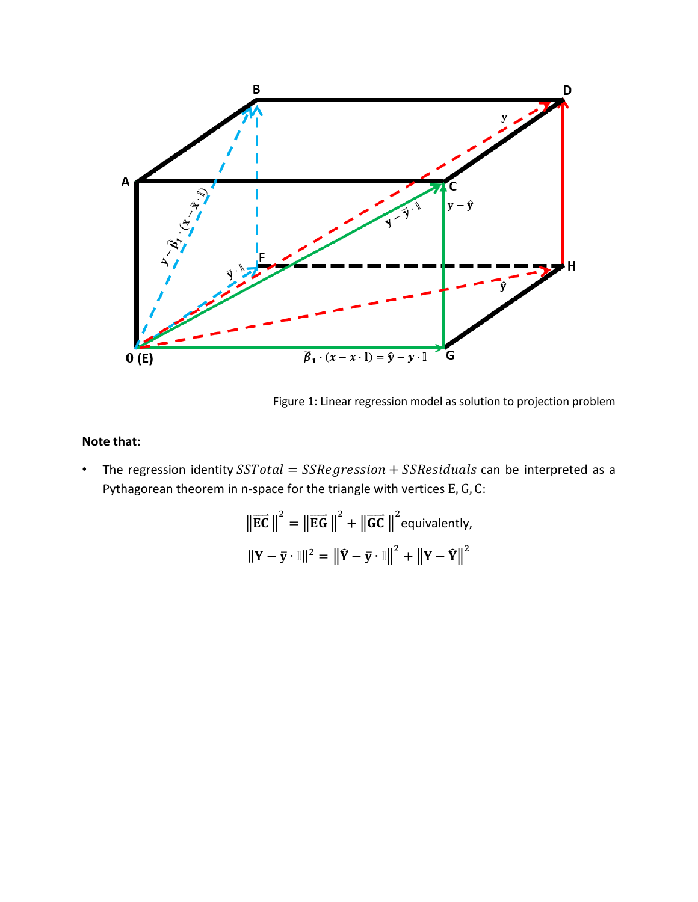

Figure 1: Linear regression model as solution to projection problem

### **Note that:**

• The regression identity  $SSTotal = SSRegression + SSResiduals$  can be interpreted as a Pythagorean theorem in n-space for the triangle with vertices E, G, C:

$$
\|\overrightarrow{\mathbf{EC}}\|^2 = \|\overrightarrow{\mathbf{EG}}\|^2 + \|\overrightarrow{\mathbf{GC}}\|^2 \text{equivalently,}
$$

$$
\|\mathbf{Y} - \overrightarrow{\mathbf{y}} \cdot \mathbb{I}\|^2 = \|\widehat{\mathbf{Y}} - \overrightarrow{\mathbf{y}} \cdot \mathbb{I}\|^2 + \|\mathbf{Y} - \widehat{\mathbf{Y}}\|^2
$$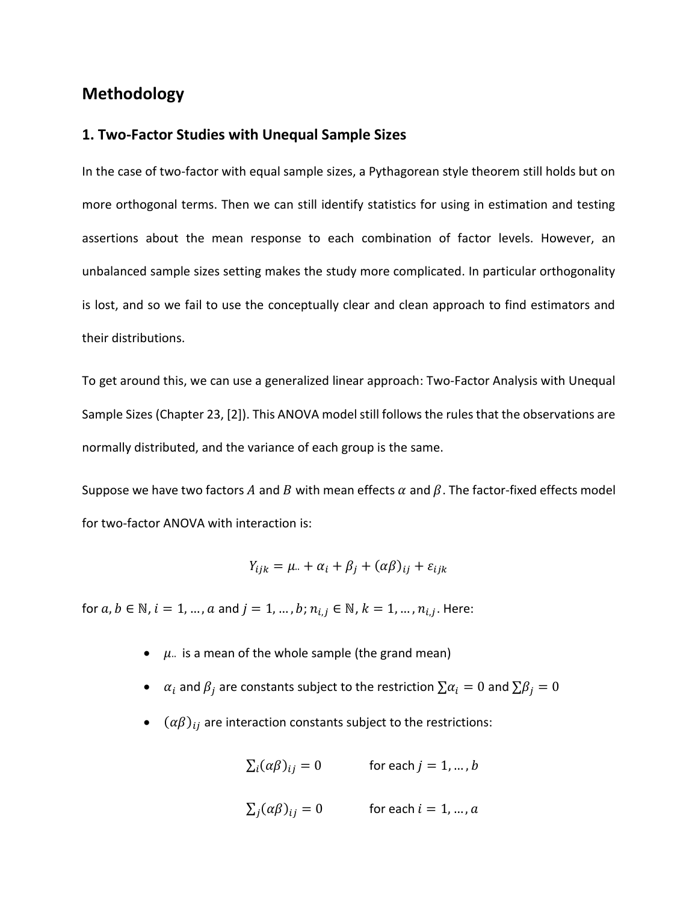### **Methodology**

#### **1. Two-Factor Studies with Unequal Sample Sizes**

In the case of two-factor with equal sample sizes, a Pythagorean style theorem still holds but on more orthogonal terms. Then we can still identify statistics for using in estimation and testing assertions about the mean response to each combination of factor levels. However, an unbalanced sample sizes setting makes the study more complicated. In particular orthogonality is lost, and so we fail to use the conceptually clear and clean approach to find estimators and their distributions.

To get around this, we can use a generalized linear approach: Two-Factor Analysis with Unequal Sample Sizes (Chapter 23, [2]). This ANOVA model still follows the rules that the observations are normally distributed, and the variance of each group is the same.

Suppose we have two factors A and B with mean effects  $\alpha$  and  $\beta$ . The factor-fixed effects model for two-factor ANOVA with interaction is:

$$
Y_{ijk} = \mu_{\cdot\cdot} + \alpha_i + \beta_j + (\alpha \beta)_{ij} + \varepsilon_{ijk}
$$

for  $a,b\in\mathbb{N}$ ,  $i=1,...$  ,  $a$  and  $j=1,...$  ,  $b$  ;  $n_{i,j}\in\mathbb{N}$  ,  $k=1,...$  ,  $n_{i,j}.$  Here:

- $\mu$  is a mean of the whole sample (the grand mean)
- $\alpha_i$  and  $\beta_j$  are constants subject to the restriction  $\sum \alpha_i = 0$  and  $\sum \beta_j = 0$
- $\bullet$   $(\alpha\beta)_{ij}$  are interaction constants subject to the restrictions:

$$
\sum_{i} (\alpha \beta)_{ij} = 0 \qquad \text{for each } j = 1, \dots, b
$$

$$
\sum_{j} (\alpha \beta)_{ij} = 0 \qquad \text{for each } i = 1, \dots, a
$$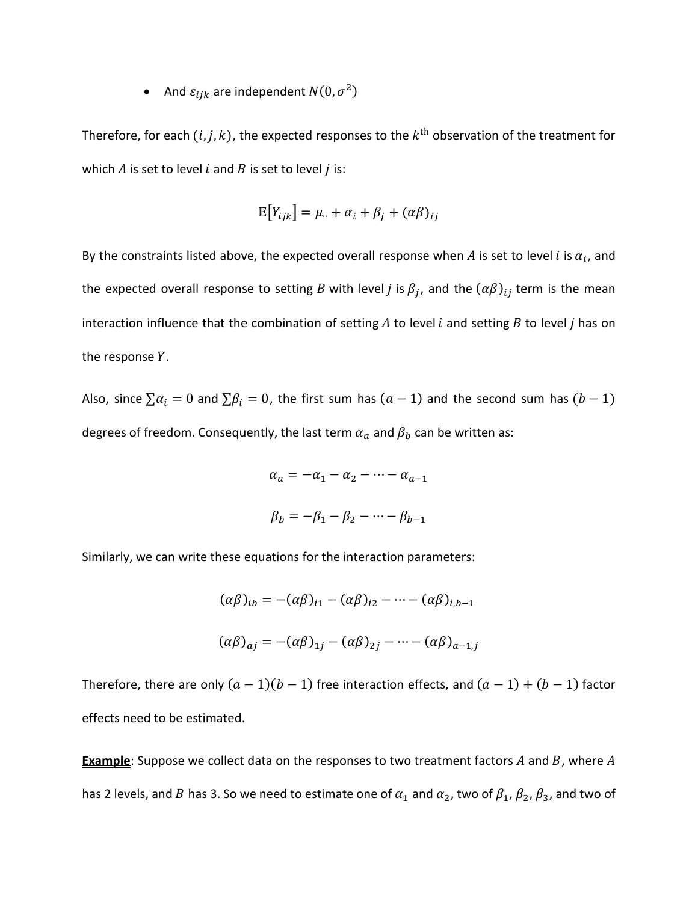• And  $\varepsilon_{ijk}$  are independent  $N(0, \sigma^2)$ 

Therefore, for each  $(i, j, k)$ , the expected responses to the  $k^{\text{th}}$  observation of the treatment for which  $A$  is set to level  $i$  and  $B$  is set to level  $j$  is:

$$
\mathbb{E}[Y_{ijk}] = \mu_{\cdot\cdot} + \alpha_i + \beta_j + (\alpha \beta)_{ij}
$$

By the constraints listed above, the expected overall response when  $A$  is set to level i is  $\alpha_i$ , and the expected overall response to setting B with level j is  $\beta_j$ , and the  $(\alpha\beta)_{ij}$  term is the mean interaction influence that the combination of setting  $A$  to level  $i$  and setting  $B$  to level  $j$  has on the response  $Y$ .

Also, since  $\sum \alpha_i = 0$  and  $\sum \beta_i = 0$ , the first sum has  $(a - 1)$  and the second sum has  $(b - 1)$ degrees of freedom. Consequently, the last term  $\alpha_a$  and  $\beta_b$  can be written as:

$$
\alpha_a = -\alpha_1 - \alpha_2 - \dots - \alpha_{a-1}
$$

$$
\beta_b = -\beta_1 - \beta_2 - \dots - \beta_{b-1}
$$

Similarly, we can write these equations for the interaction parameters:

$$
(\alpha \beta)_{ib} = -(\alpha \beta)_{i1} - (\alpha \beta)_{i2} - \dots - (\alpha \beta)_{i,b-1}
$$

$$
(\alpha \beta)_{aj} = -(\alpha \beta)_{1j} - (\alpha \beta)_{2j} - \dots - (\alpha \beta)_{a-1,j}
$$

Therefore, there are only  $(a - 1)(b - 1)$  free interaction effects, and  $(a - 1) + (b - 1)$  factor effects need to be estimated.

**Example**: Suppose we collect data on the responses to two treatment factors A and B, where A has 2 levels, and B has 3. So we need to estimate one of  $\alpha_1$  and  $\alpha_2$ , two of  $\beta_1$ ,  $\beta_2$ ,  $\beta_3$ , and two of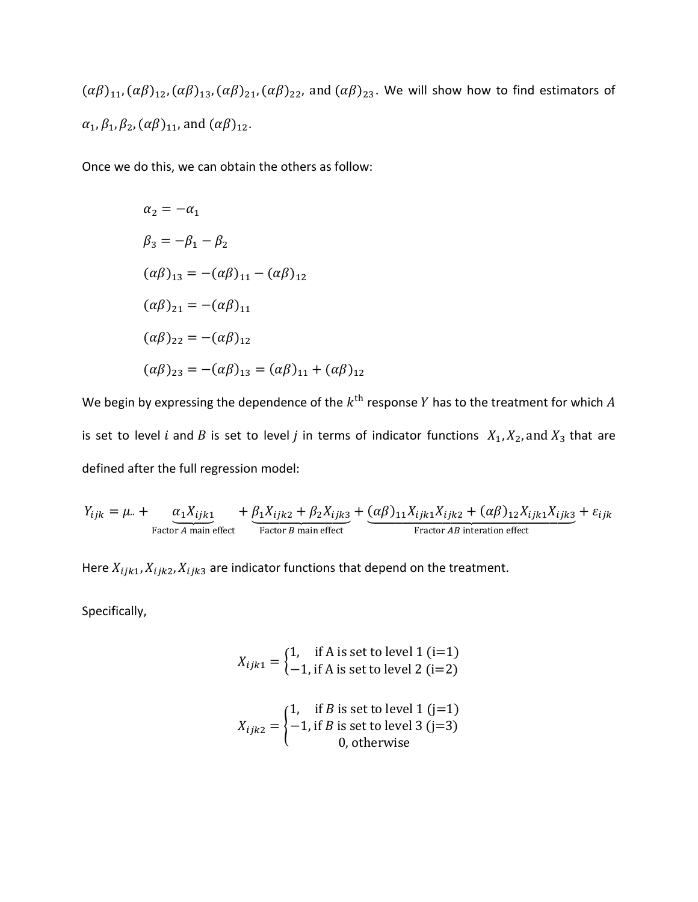$(\alpha\beta)_{11}, (\alpha\beta)_{12}, (\alpha\beta)_{13}, (\alpha\beta)_{21}, (\alpha\beta)_{22}$ , and  $(\alpha\beta)_{23}$ . We will show how to find estimators of  $\alpha_1$ ,  $\beta_1$ ,  $\beta_2$ ,  $(\alpha\beta)_{11}$ , and  $(\alpha\beta)_{12}$ .

Once we do this, we can obtain the others as follow:

$$
\alpha_2 = -\alpha_1
$$
  
\n
$$
\beta_3 = -\beta_1 - \beta_2
$$
  
\n
$$
(\alpha \beta)_{13} = -(\alpha \beta)_{11} - (\alpha \beta)_{12}
$$
  
\n
$$
(\alpha \beta)_{21} = -(\alpha \beta)_{11}
$$
  
\n
$$
(\alpha \beta)_{22} = -(\alpha \beta)_{12}
$$
  
\n
$$
(\alpha \beta)_{23} = -(\alpha \beta)_{13} = (\alpha \beta)_{11} + (\alpha \beta)_{12}
$$

We begin by expressing the dependence of the  $k^{\text{th}}$  response  $Y$  has to the treatment for which  $A$ is set to level *i* and *B* is set to level *j* in terms of indicator functions  $X_1, X_2$ , and  $X_3$  that are defined after the full regression model:

$$
Y_{ijk} = \mu_{\cdot \cdot} + \underbrace{\alpha_1 X_{ijk1}}_{\text{Factor } A \text{ main effect}} + \underbrace{\beta_1 X_{ijk2} + \beta_2 X_{ijk3}}_{\text{Factor } B \text{ main effect}} + \underbrace{(\alpha \beta)_{11} X_{ijk1} X_{ijk2} + (\alpha \beta)_{12} X_{ijk1} X_{ijk3}}_{\text{Fraction } AB \text{ interaction effect}} + \varepsilon_{ijk}
$$

Here  $X_{ijk1}, X_{ijk2}, X_{ijk3}$  are indicator functions that depend on the treatment.

Specifically,

$$
X_{ijk1} = \begin{cases} 1, & \text{if } A \text{ is set to level 1 (i=1)} \\ -1, & \text{if } A \text{ is set to level 2 (i=2)} \end{cases}
$$

$$
X_{ijk2} = \begin{cases} 1, & \text{if } B \text{ is set to level 1 (j=1)} \\ -1, & \text{if } B \text{ is set to level 3 (j=3)} \\ 0, & \text{otherwise} \end{cases}
$$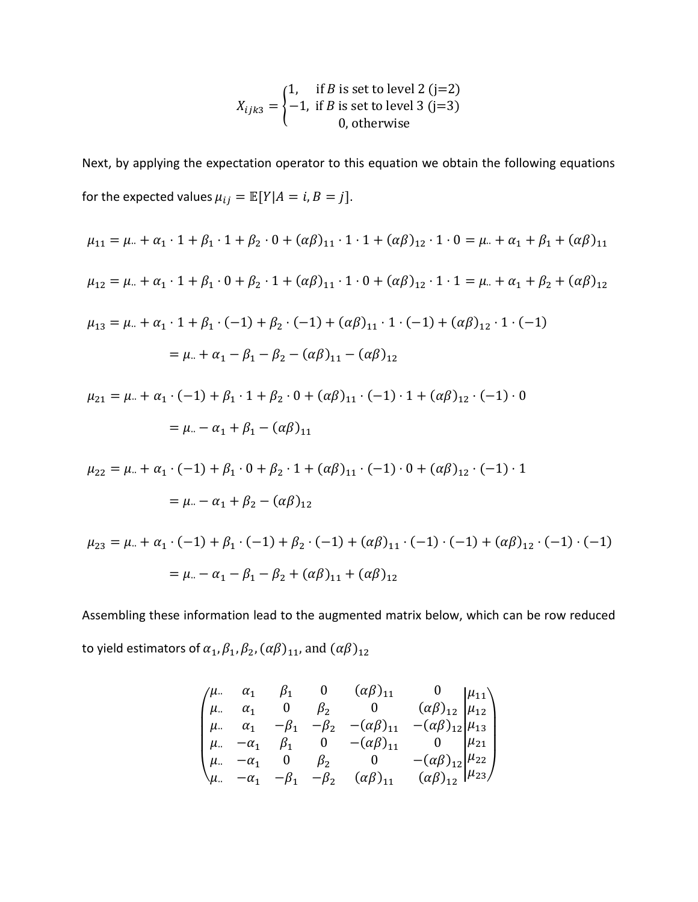$$
X_{ijk3} = \begin{cases} 1, & \text{if } B \text{ is set to level 2 (j=2)} \\ -1, & \text{if } B \text{ is set to level 3 (j=3)} \\ 0, & \text{otherwise} \end{cases}
$$

Next, by applying the expectation operator to this equation we obtain the following equations for the expected values  $\mu_{ij} = \mathbb{E}[Y|A=i, B=j].$ 

$$
\mu_{11} = \mu_{..} + \alpha_{1} \cdot 1 + \beta_{1} \cdot 1 + \beta_{2} \cdot 0 + (\alpha \beta)_{11} \cdot 1 \cdot 1 + (\alpha \beta)_{12} \cdot 1 \cdot 0 = \mu_{..} + \alpha_{1} + \beta_{1} + (\alpha \beta)_{11}
$$
  
\n
$$
\mu_{12} = \mu_{..} + \alpha_{1} \cdot 1 + \beta_{1} \cdot 0 + \beta_{2} \cdot 1 + (\alpha \beta)_{11} \cdot 1 \cdot 0 + (\alpha \beta)_{12} \cdot 1 \cdot 1 = \mu_{..} + \alpha_{1} + \beta_{2} + (\alpha \beta)_{12}
$$
  
\n
$$
\mu_{13} = \mu_{..} + \alpha_{1} \cdot 1 + \beta_{1} \cdot (-1) + \beta_{2} \cdot (-1) + (\alpha \beta)_{11} \cdot 1 \cdot (-1) + (\alpha \beta)_{12} \cdot 1 \cdot (-1)
$$
  
\n
$$
= \mu_{..} + \alpha_{1} - \beta_{1} - \beta_{2} - (\alpha \beta)_{11} - (\alpha \beta)_{12}
$$
  
\n
$$
\mu_{21} = \mu_{..} + \alpha_{1} \cdot (-1) + \beta_{1} \cdot 1 + \beta_{2} \cdot 0 + (\alpha \beta)_{11} \cdot (-1) \cdot 1 + (\alpha \beta)_{12} \cdot (-1) \cdot 0
$$
  
\n
$$
= \mu_{..} - \alpha_{1} + \beta_{1} - (\alpha \beta)_{11}
$$
  
\n
$$
\mu_{22} = \mu_{..} + \alpha_{1} \cdot (-1) + \beta_{1} \cdot 0 + \beta_{2} \cdot 1 + (\alpha \beta)_{11} \cdot (-1) \cdot 0 + (\alpha \beta)_{12} \cdot (-1) \cdot 1
$$
  
\n
$$
= \mu_{..} - \alpha_{1} + \beta_{2} - (\alpha \beta)_{12}
$$
  
\n
$$
\mu_{23} = \mu_{..} + \alpha_{1} \cdot (-1) + \beta_{1} \cdot (-1) + \beta_{2} \cdot (-1) + (\alpha \beta)_{11} \cdot (-1) \cdot (-1) + (\alpha \beta)_{12} \cdot (-1) \cdot (-1)
$$
  
\n
$$
= \mu_{..} - \alpha_{1} - \beta_{1} - \beta_{2
$$

Assembling these information lead to the augmented matrix below, which can be row reduced to yield estimators of  $\alpha_1, \beta_1, \beta_2, (\alpha \beta)_{11}$ , and  $(\alpha \beta)_{12}$ 

$$
\begin{pmatrix}\n\mu_{..} & \alpha_1 & \beta_1 & 0 & (\alpha \beta)_{11} & 0 & \mu_{11} \\
\mu_{..} & \alpha_1 & 0 & \beta_2 & 0 & (\alpha \beta)_{12} & \mu_{12} \\
\mu_{..} & \alpha_1 & -\beta_1 & -\beta_2 & -(\alpha \beta)_{11} & -(\alpha \beta)_{12} & \mu_{13} \\
\mu_{..} & -\alpha_1 & \beta_1 & 0 & -(\alpha \beta)_{11} & 0 & \mu_{21} \\
\mu_{..} & -\alpha_1 & 0 & \beta_2 & 0 & -(\alpha \beta)_{12} & \mu_{22} \\
\mu_{..} & -\alpha_1 & -\beta_1 & -\beta_2 & (\alpha \beta)_{11} & (\alpha \beta)_{12} & \mu_{23}\n\end{pmatrix}
$$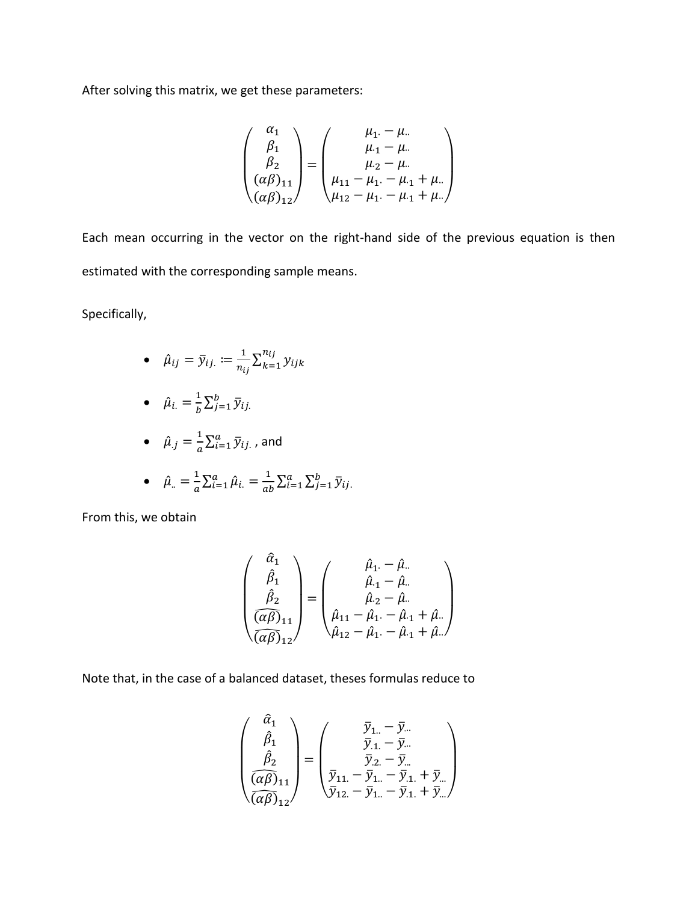After solving this matrix, we get these parameters:

$$
\begin{pmatrix}\n\alpha_1 \\
\beta_1 \\
\beta_2 \\
(\alpha\beta)_{11} \\
(\alpha\beta)_{12}\n\end{pmatrix} = \begin{pmatrix}\n\mu_1 - \mu_1 \\
\mu_1 - \mu_1 \\
\mu_2 - \mu_1 \\
\mu_1 - \mu_1 - \mu_1 + \mu_1 \\
\mu_1 - \mu_1 - \mu_1 + \mu_1\n\end{pmatrix}
$$

Each mean occurring in the vector on the right-hand side of the previous equation is then estimated with the corresponding sample means.

Specifically,

•  $\hat{\mu}_{ij} = \bar{y}_{ij} := \frac{1}{n}$  $\frac{1}{n_{ij}}\sum_{k=1}^{n_{ij}}y_{ijk}$  $k=1$ 

• 
$$
\hat{\mu}_i = \frac{1}{b} \sum_{j=1}^b \overline{y}_{ij}
$$
.

• 
$$
\hat{\mu}_{.j} = \frac{1}{a} \sum_{i=1}^{a} \bar{y}_{ij.}
$$
, and

• 
$$
\hat{\mu}_{..} = \frac{1}{a} \sum_{i=1}^{a} \hat{\mu}_{i..} = \frac{1}{ab} \sum_{i=1}^{a} \sum_{j=1}^{b} \bar{y}_{ij..}
$$

From this, we obtain

$$
\begin{pmatrix}\n\hat{\alpha}_{1} \\
\hat{\beta}_{1} \\
\hat{\beta}_{2} \\
\frac{\hat{\alpha}\beta}{(\alpha\beta)_{11}}\n\end{pmatrix} = \begin{pmatrix}\n\hat{\mu}_{1} - \hat{\mu}_{..} \\
\hat{\mu}_{.1} - \hat{\mu}_{..} \\
\hat{\mu}_{.2} - \hat{\mu}_{..} \\
\hat{\mu}_{.1} - \hat{\mu}_{.1} - \hat{\mu}_{.1} + \hat{\mu}_{..}\n\end{pmatrix}
$$

Note that, in the case of a balanced dataset, theses formulas reduce to

$$
\begin{pmatrix}\n\hat{\alpha}_1 \\
\hat{\beta}_1 \\
\hat{\beta}_2 \\
\hline\n\left(\widehat{\alpha\beta}\right)_{11}\n\end{pmatrix} = \begin{pmatrix}\n\overline{y}_{1..} - \overline{y}_{..} \\
\overline{y}_{.1.} - \overline{y}_{..} \\
\overline{y}_{.2.} - \overline{y}_{..} \\
\overline{y}_{.2.} - \overline{y}_{..} \\
\overline{y}_{.1.} - \overline{y}_{.1.} + \overline{y}_{..}\n\end{pmatrix}
$$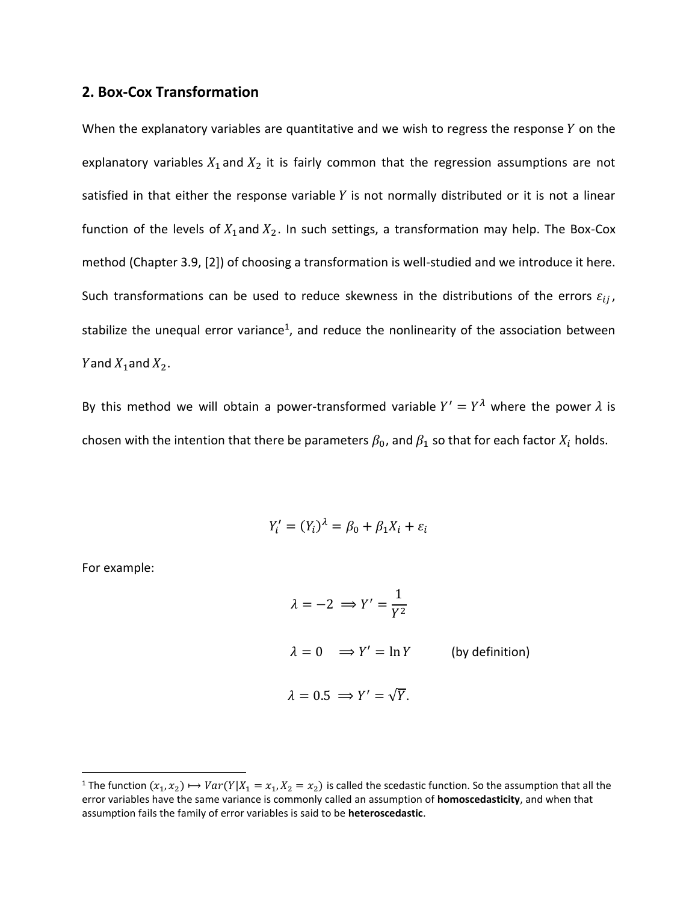#### **2. Box-Cox Transformation**

When the explanatory variables are quantitative and we wish to regress the response  $Y$  on the explanatory variables  $X_1$  and  $X_2$  it is fairly common that the regression assumptions are not satisfied in that either the response variable  $Y$  is not normally distributed or it is not a linear function of the levels of  $X_1$  and  $X_2$ . In such settings, a transformation may help. The Box-Cox method (Chapter 3.9, [2]) of choosing a transformation is well-studied and we introduce it here. Such transformations can be used to reduce skewness in the distributions of the errors  $\varepsilon_{ij}$ , stabilize the unequal error variance<sup>1</sup>, and reduce the nonlinearity of the association between Yand  $X_1$ and  $X_2$ .

By this method we will obtain a power-transformed variable  $Y' = Y^{\lambda}$  where the power  $\lambda$  is chosen with the intention that there be parameters  $\beta_0$ , and  $\beta_1$  so that for each factor  $X_i$  holds.

$$
Y_i' = (Y_i)^{\lambda} = \beta_0 + \beta_1 X_i + \varepsilon_i
$$

For example:

 $\overline{a}$ 

$$
\lambda = -2 \implies Y' = \frac{1}{Y^2}
$$
  
\n
$$
\lambda = 0 \implies Y' = \ln Y \qquad \text{(by definition)}
$$
  
\n
$$
\lambda = 0.5 \implies Y' = \sqrt{Y}.
$$

<sup>&</sup>lt;sup>1</sup> The function  $(x_1, x_2) \mapsto Var(Y|X_1 = x_1, X_2 = x_2)$  is called the scedastic function. So the assumption that all the error variables have the same variance is commonly called an assumption of **homoscedasticity**, and when that assumption fails the family of error variables is said to be **heteroscedastic**.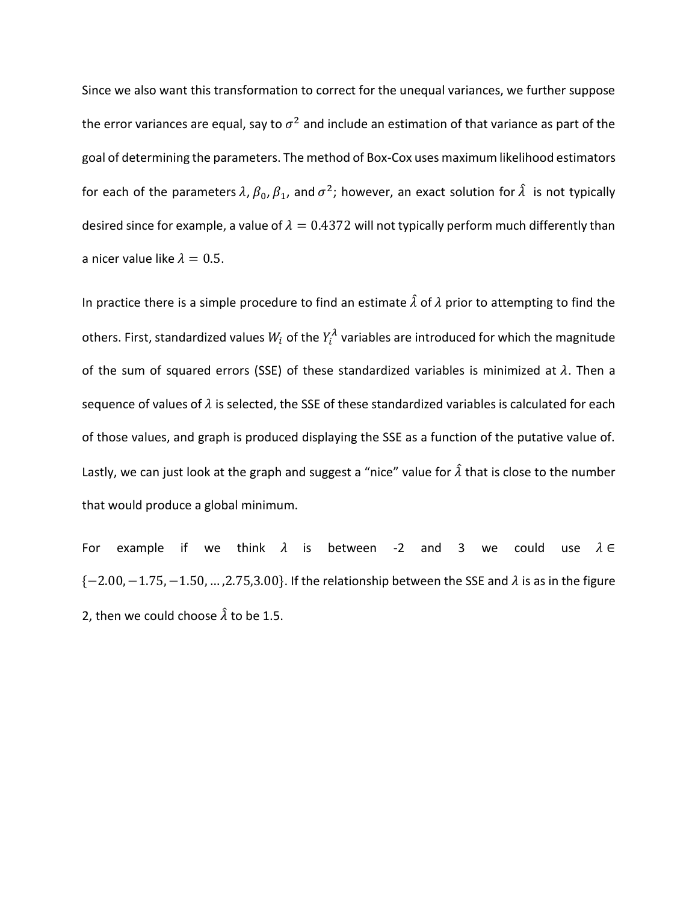Since we also want this transformation to correct for the unequal variances, we further suppose the error variances are equal, say to  $\sigma^2$  and include an estimation of that variance as part of the goal of determining the parameters. The method of Box-Cox uses maximum likelihood estimators for each of the parameters  $\lambda$ ,  $\beta_0$ ,  $\beta_1$ , and  $\sigma^2$ ; however, an exact solution for  $\hat{\lambda}$  is not typically desired since for example, a value of  $\lambda = 0.4372$  will not typically perform much differently than a nicer value like  $\lambda = 0.5$ .

In practice there is a simple procedure to find an estimate  $\hat{\lambda}$  of  $\lambda$  prior to attempting to find the others. First, standardized values  $W_i$  of the  $Y_i^{\lambda}$  variables are introduced for which the magnitude of the sum of squared errors (SSE) of these standardized variables is minimized at  $\lambda$ . Then a sequence of values of  $\lambda$  is selected, the SSE of these standardized variables is calculated for each of those values, and graph is produced displaying the SSE as a function of the putative value of. Lastly, we can just look at the graph and suggest a "nice" value for  $\hat{\lambda}$  that is close to the number that would produce a global minimum.

For example if we think  $\lambda$  is between -2 and 3 we could use  $\lambda \in$  ${-2.00, -1.75, -1.50, ..., 2.75, 3.00}.$  If the relationship between the SSE and  $\lambda$  is as in the figure 2, then we could choose  $\hat{\lambda}$  to be 1.5.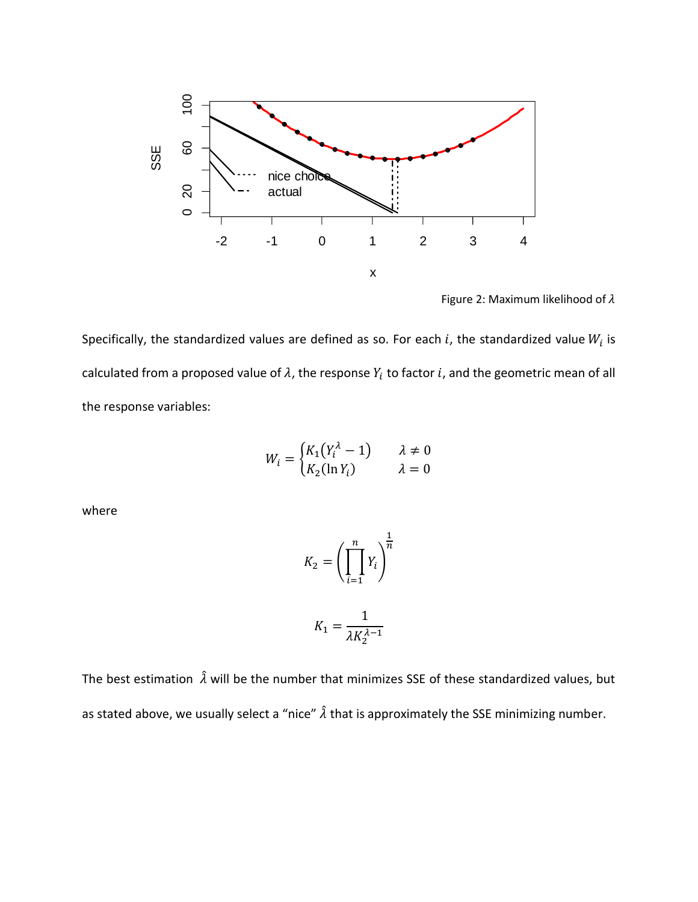

Figure 2: Maximum likelihood of  $\lambda$ 

Specifically, the standardized values are defined as so. For each i, the standardized value  $W_i$  is calculated from a proposed value of  $\lambda$ , the response  $Y_i$  to factor  $i$ , and the geometric mean of all the response variables:

$$
W_i = \begin{cases} K_1(Y_i^{\lambda} - 1) & \lambda \neq 0 \\ K_2(\ln Y_i) & \lambda = 0 \end{cases}
$$

where

$$
K_2 = \left(\prod_{i=1}^n Y_i\right)^{\frac{1}{n}}
$$

$$
K_1 = \frac{1}{\lambda K_2^{\lambda - 1}}
$$

The best estimation  $\hat{\lambda}$  will be the number that minimizes SSE of these standardized values, but as stated above, we usually select a "nice"  $\hat{\lambda}$  that is approximately the SSE minimizing number.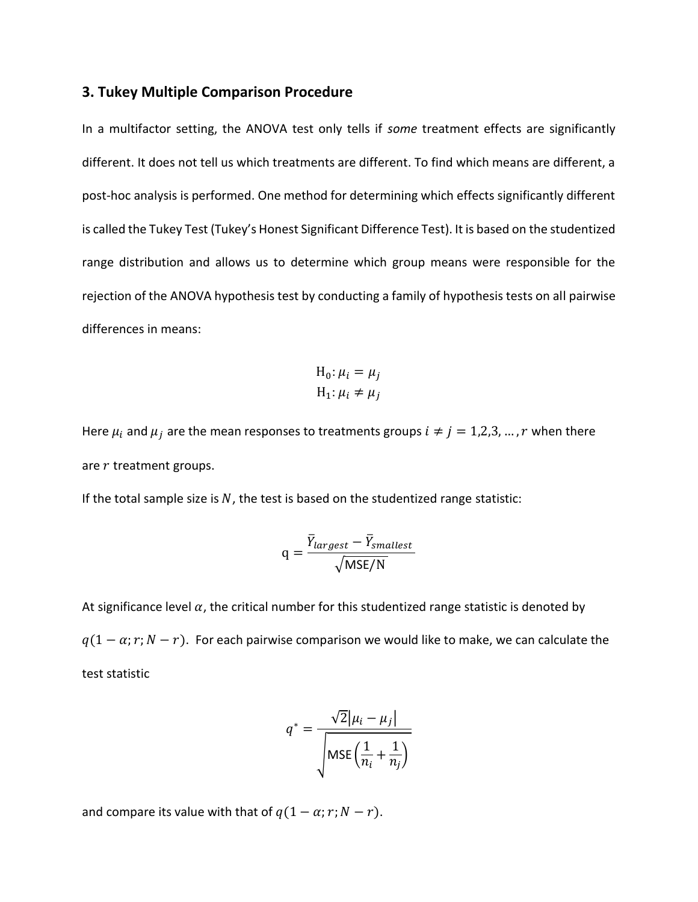#### **3. Tukey Multiple Comparison Procedure**

In a multifactor setting, the ANOVA test only tells if *some* treatment effects are significantly different. It does not tell us which treatments are different. To find which means are different, a post-hoc analysis is performed. One method for determining which effects significantly different is called the Tukey Test (Tukey's Honest Significant Difference Test). It is based on the studentized range distribution and allows us to determine which group means were responsible for the rejection of the ANOVA hypothesis test by conducting a family of hypothesis tests on all pairwise differences in means:

$$
H_0: \mu_i = \mu_j
$$
  

$$
H_1: \mu_i \neq \mu_j
$$

Here  $\mu_i$  and  $\mu_j$  are the mean responses to treatments groups  $i \neq j = 1,2,3,...,r$  when there are  $r$  treatment groups.

If the total sample size is  $N$ , the test is based on the studentized range statistic:

$$
q = \frac{\overline{Y}_{largest} - \overline{Y}_{smallest}}{\sqrt{MSE/N}}
$$

At significance level  $\alpha$ , the critical number for this studentized range statistic is denoted by  $q(1 - \alpha; r; N - r)$ . For each pairwise comparison we would like to make, we can calculate the test statistic

$$
q^* = \frac{\sqrt{2}|\mu_i - \mu_j|}{\sqrt{\text{MSE}\left(\frac{1}{n_i} + \frac{1}{n_j}\right)}}
$$

and compare its value with that of  $q(1 - \alpha; r; N - r)$ .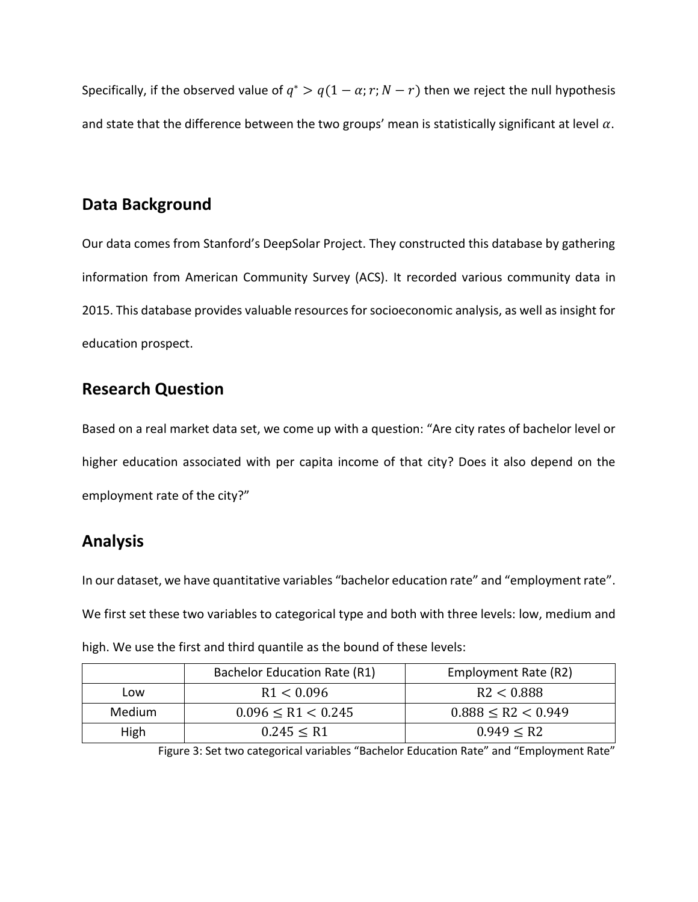Specifically, if the observed value of  $q^* > q(1-\alpha; r; N-r)$  then we reject the null hypothesis and state that the difference between the two groups' mean is statistically significant at level  $\alpha$ .

### **Data Background**

Our data comes from Stanford's DeepSolar Project. They constructed this database by gathering information from American Community Survey (ACS). It recorded various community data in 2015. This database provides valuable resources for socioeconomic analysis, as well as insight for education prospect.

### **Research Question**

Based on a real market data set, we come up with a question: "Are city rates of bachelor level or higher education associated with per capita income of that city? Does it also depend on the employment rate of the city?"

## **Analysis**

In our dataset, we have quantitative variables "bachelor education rate" and "employment rate". We first set these two variables to categorical type and both with three levels: low, medium and high. We use the first and third quantile as the bound of these levels:

|                   | Bachelor Education Rate (R1) | Employment Rate (R2)    |
|-------------------|------------------------------|-------------------------|
| R1 < 0.096<br>Low |                              | R2 < 0.888              |
| Medium            | $0.096 \leq R1 < 0.245$      | $0.888 \leq R2 < 0.949$ |
| High              | 0.245 < R1                   | 0.949 < R2              |

Figure 3: Set two categorical variables "Bachelor Education Rate" and "Employment Rate"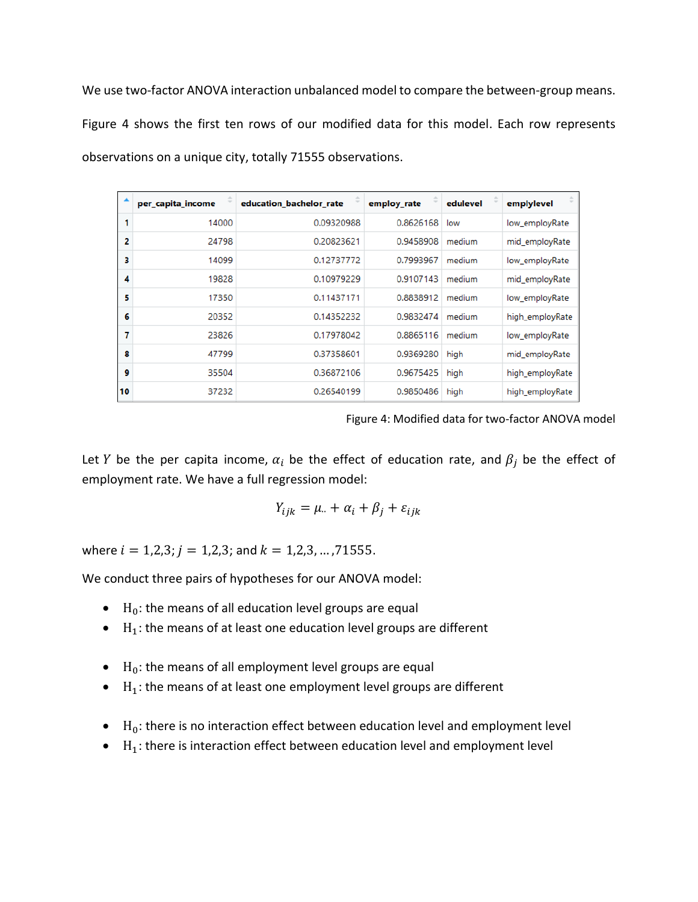We use two-factor ANOVA interaction unbalanced model to compare the between-group means. Figure 4 shows the first ten rows of our modified data for this model. Each row represents observations on a unique city, totally 71555 observations.

|    | per_capita_income | education_bachelor_rate | employ_rate | edulevel | emplylevel      |
|----|-------------------|-------------------------|-------------|----------|-----------------|
| 1  | 14000             | 0.09320988              | 0.8626168   | low      | low_employRate  |
| 2  | 24798             | 0.20823621              | 0.9458908   | medium   | mid_employRate  |
| з  | 14099             | 0.12737772              | 0.7993967   | medium   | low_employRate  |
| 4  | 19828             | 0.10979229              | 0.9107143   | medium   | mid_employRate  |
| 5  | 17350             | 0.11437171              | 0.8838912   | medium   | low_employRate  |
| 6  | 20352             | 0.14352232              | 0.9832474   | medium   | high_employRate |
| 7  | 23826             | 0.17978042              | 0.8865116   | medium   | low_employRate  |
| 8  | 47799             | 0.37358601              | 0.9369280   | high     | mid_employRate  |
| 9  | 35504             | 0.36872106              | 0.9675425   | high     | high_employRate |
| 10 | 37232             | 0.26540199              | 0.9850486   | high     | high_employRate |

Figure 4: Modified data for two-factor ANOVA model

Let Y be the per capita income,  $\alpha_i$  be the effect of education rate, and  $\beta_i$  be the effect of employment rate. We have a full regression model:

$$
Y_{ijk} = \mu_{\cdot\cdot} + \alpha_i + \beta_j + \varepsilon_{ijk}
$$

where  $i = 1,2,3; j = 1,2,3;$  and  $k = 1,2,3, \ldots, 71555$ .

We conduct three pairs of hypotheses for our ANOVA model:

- $\bullet$  H<sub>0</sub>: the means of all education level groups are equal
- $\bullet$  H<sub>1</sub>: the means of at least one education level groups are different
- $\bullet$  H<sub>0</sub>: the means of all employment level groups are equal
- $\bullet$  H<sub>1</sub>: the means of at least one employment level groups are different
- $\bullet$  H<sub>0</sub>: there is no interaction effect between education level and employment level
- $\bullet$  H<sub>1</sub>: there is interaction effect between education level and employment level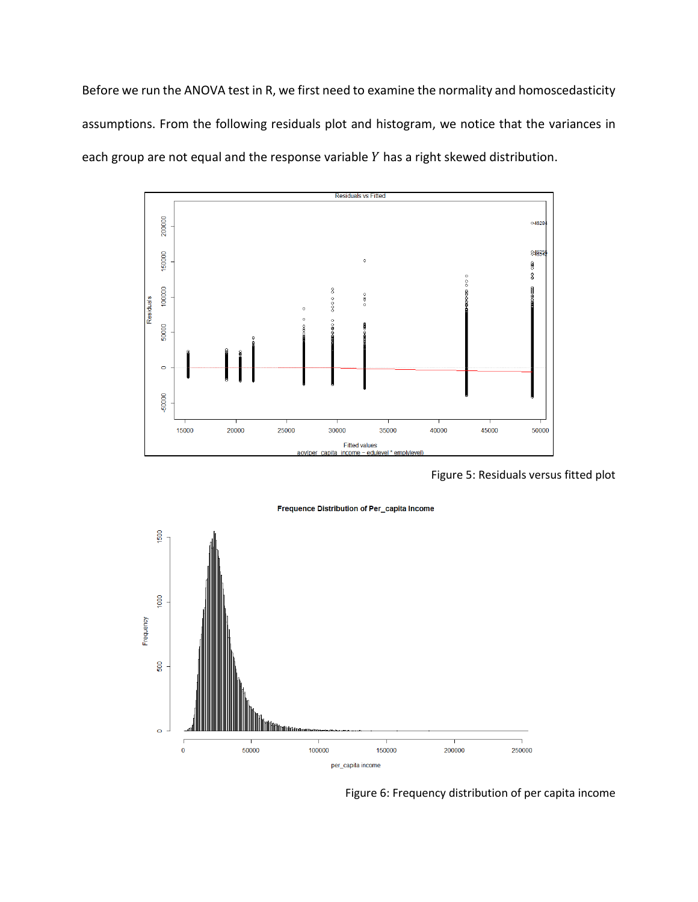Before we run the ANOVA test in R, we first need to examine the normality and homoscedasticity assumptions. From the following residuals plot and histogram, we notice that the variances in each group are not equal and the response variable  $Y$  has a right skewed distribution.



Figure 5: Residuals versus fitted plot



Figure 6: Frequency distribution of per capita income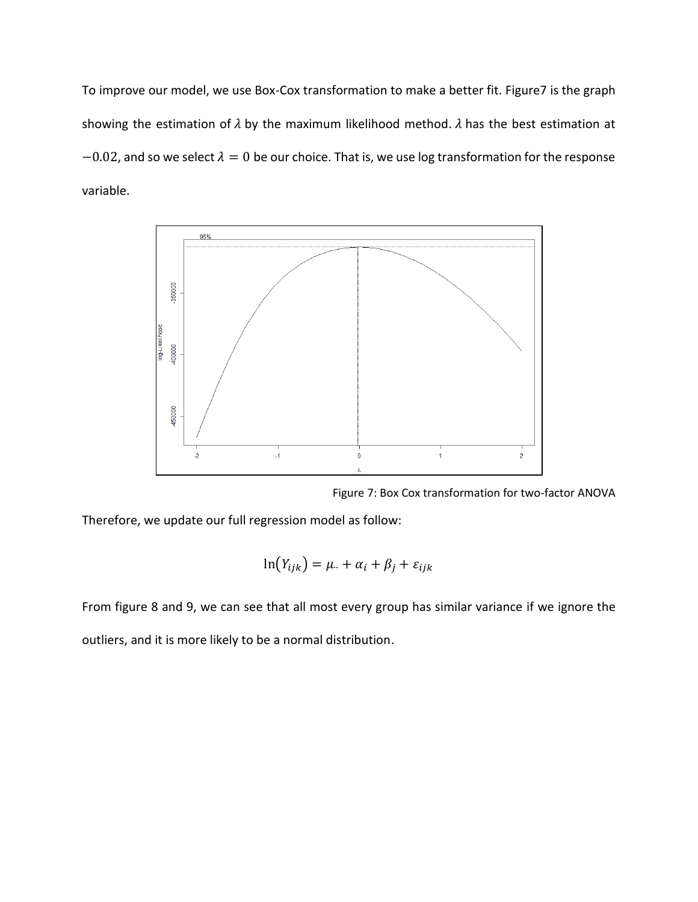To improve our model, we use Box-Cox transformation to make a better fit. Figure7 is the graph showing the estimation of  $\lambda$  by the maximum likelihood method.  $\lambda$  has the best estimation at  $-0.02$ , and so we select  $\lambda = 0$  be our choice. That is, we use log transformation for the response variable.



Figure 7: Box Cox transformation for two-factor ANOVA

Therefore, we update our full regression model as follow:

$$
\ln(Y_{ijk}) = \mu_{\cdot\cdot} + \alpha_i + \beta_j + \varepsilon_{ijk}
$$

From figure 8 and 9, we can see that all most every group has similar variance if we ignore the outliers, and it is more likely to be a normal distribution.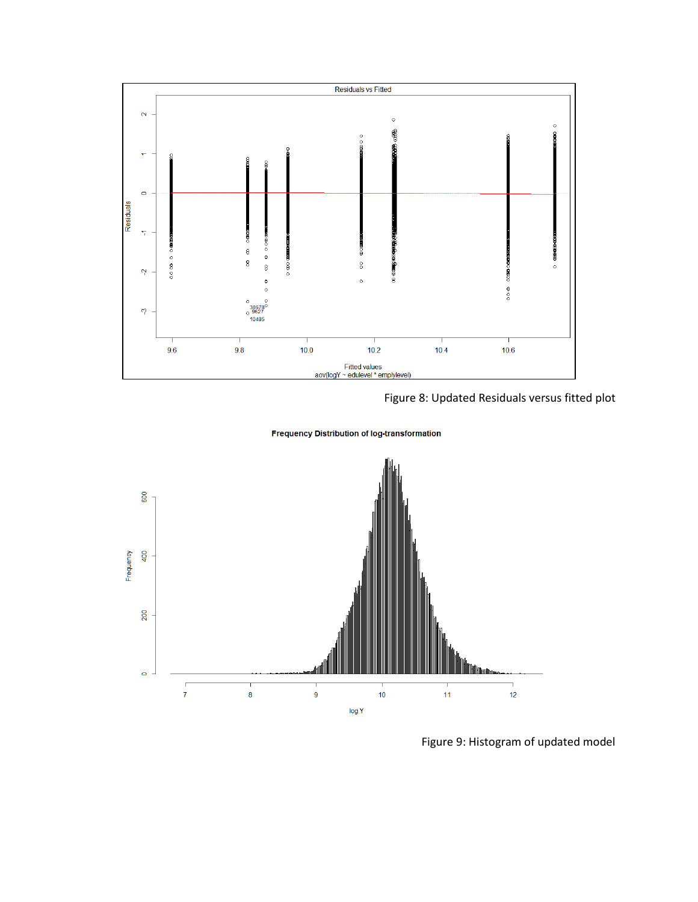

Figure 8: Updated Residuals versus fitted plot

**Frequency Distribution of log-transformation** 



Figure 9: Histogram of updated model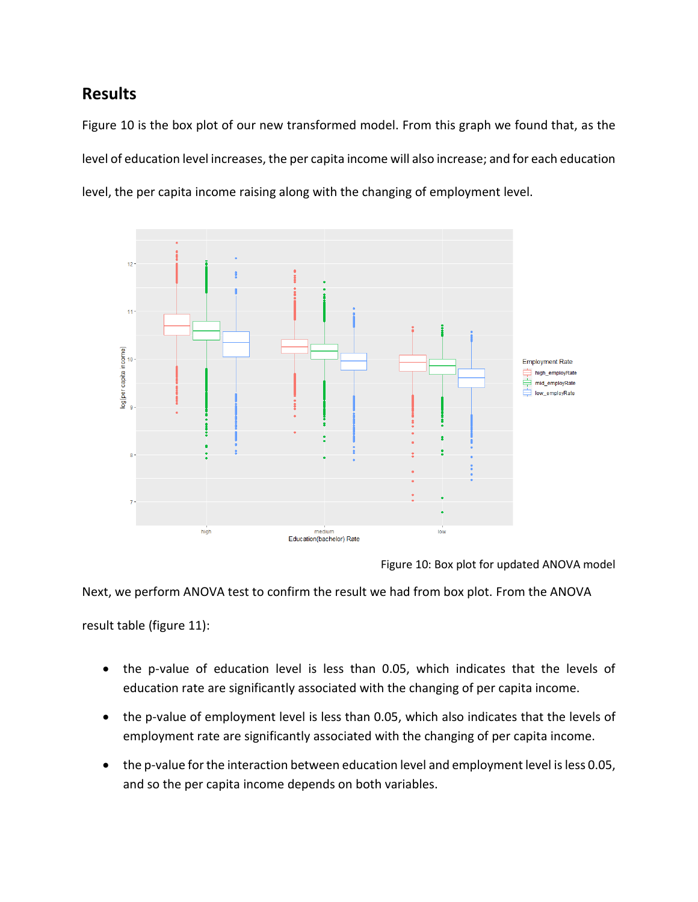### **Results**

Figure 10 is the box plot of our new transformed model. From this graph we found that, as the level of education level increases, the per capita income will also increase; and for each education level, the per capita income raising along with the changing of employment level.



Figure 10: Box plot for updated ANOVA model

Next, we perform ANOVA test to confirm the result we had from box plot. From the ANOVA

result table (figure 11):

- the p-value of education level is less than 0.05, which indicates that the levels of education rate are significantly associated with the changing of per capita income.
- the p-value of employment level is less than 0.05, which also indicates that the levels of employment rate are significantly associated with the changing of per capita income.
- the p-value for the interaction between education level and employment level is less 0.05, and so the per capita income depends on both variables.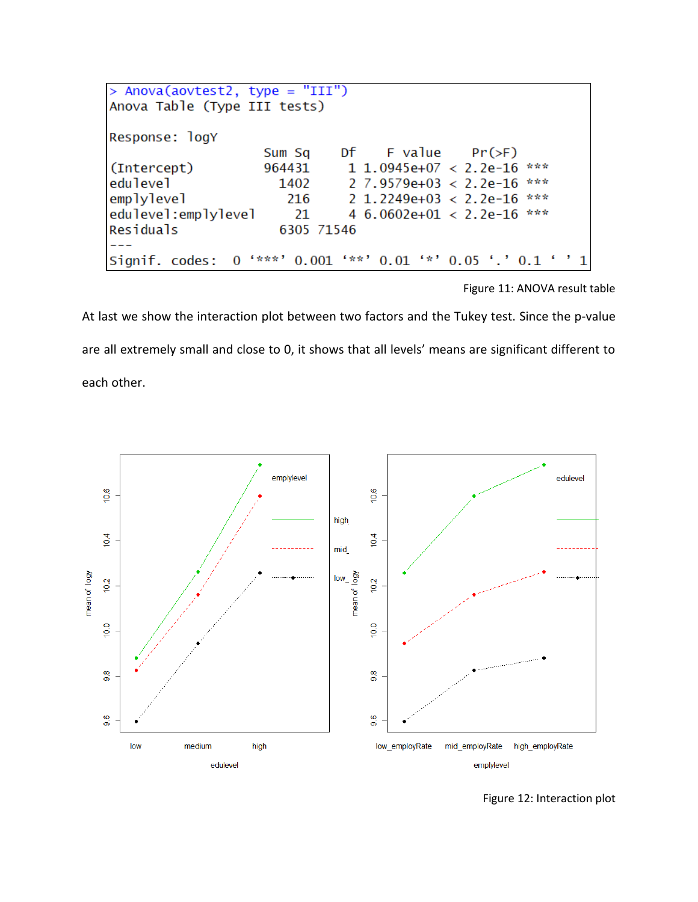| > Anova(aovtest2, type = "III") |        |  |                                                               |  |  |
|---------------------------------|--------|--|---------------------------------------------------------------|--|--|
| Anova Table (Type III tests)    |        |  |                                                               |  |  |
|                                 |        |  |                                                               |  |  |
| Response: logY                  |        |  |                                                               |  |  |
|                                 | Sum Sq |  | Df F value $Pr(\ge F)$                                        |  |  |
| (Intercept)                     | 964431 |  | 1 1.0945e+07 < 2.2e-16 ***                                    |  |  |
| edulevel                        | 1402   |  | ***<br>$2\,7.9579e+03 \leq 2.2e-16$                           |  |  |
| emplylevel                      | 216    |  | ***<br>$2\;1.2249e+03\; < \;2.2e-16$                          |  |  |
| edulevel:emplylevel             | 21     |  | 4 6.0602e+01 < 2.2e-16 ***                                    |  |  |
| Residuals<br>6305 71546         |        |  |                                                               |  |  |
|                                 |        |  |                                                               |  |  |
|                                 |        |  | Signif. codes: 0 '***' 0.001 '**' 0.01 '*' 0.05 '.' 0.1 ' ' 1 |  |  |

Figure 11: ANOVA result table

At last we show the interaction plot between two factors and the Tukey test. Since the p-value are all extremely small and close to 0, it shows that all levels' means are significant different to

each other.



Figure 12: Interaction plot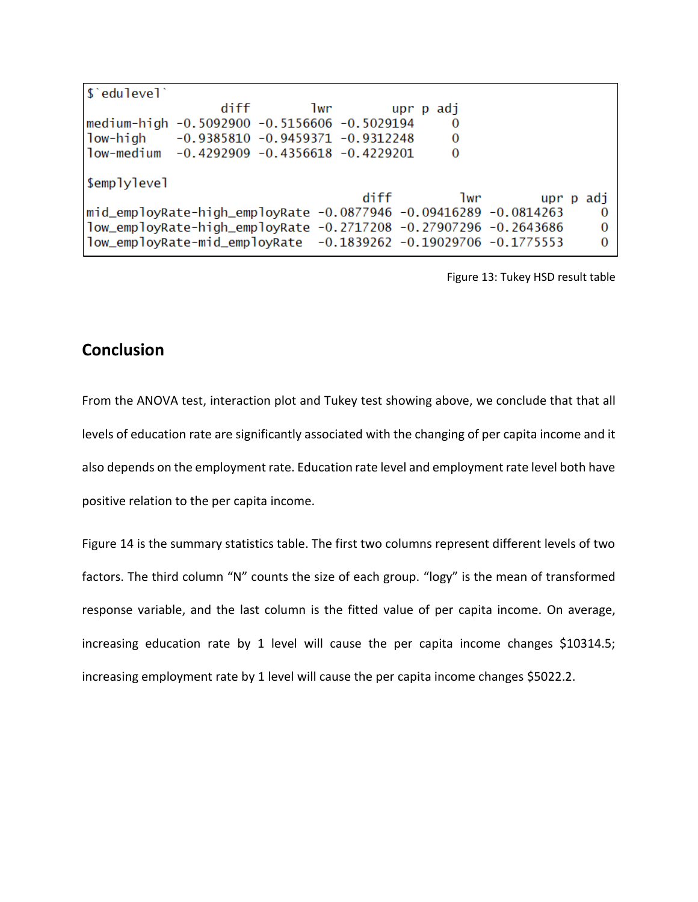| \$'edulevel'                                                     |      |     |      |           |           |
|------------------------------------------------------------------|------|-----|------|-----------|-----------|
|                                                                  | diff | lwr |      | upr p adj |           |
| medium-high -0.5092900 -0.5156606 -0.5029194                     |      |     |      | 0         |           |
| low-high -0.9385810 -0.9459371 -0.9312248                        |      |     |      | 0         |           |
| low-medium -0.4292909 -0.4356618 -0.4229201                      |      |     |      | 0         |           |
|                                                                  |      |     |      |           |           |
| \$emplylevel                                                     |      |     |      |           |           |
|                                                                  |      |     | diff | 1wr       | upr p adj |
| mid_employRate-high_employRate -0.0877946 -0.09416289 -0.0814263 |      |     |      |           | $\Omega$  |
| 1ow_employRate-high_employRate -0.2717208 -0.27907296 -0.2643686 |      |     |      |           | $\Omega$  |
| low_employRate-mid_employRate -0.1839262 -0.19029706 -0.1775553  |      |     |      |           | $\Omega$  |

Figure 13: Tukey HSD result table

### **Conclusion**

From the ANOVA test, interaction plot and Tukey test showing above, we conclude that that all levels of education rate are significantly associated with the changing of per capita income and it also depends on the employment rate. Education rate level and employment rate level both have positive relation to the per capita income.

Figure 14 is the summary statistics table. The first two columns represent different levels of two factors. The third column "N" counts the size of each group. "logy" is the mean of transformed response variable, and the last column is the fitted value of per capita income. On average, increasing education rate by 1 level will cause the per capita income changes \$10314.5; increasing employment rate by 1 level will cause the per capita income changes \$5022.2.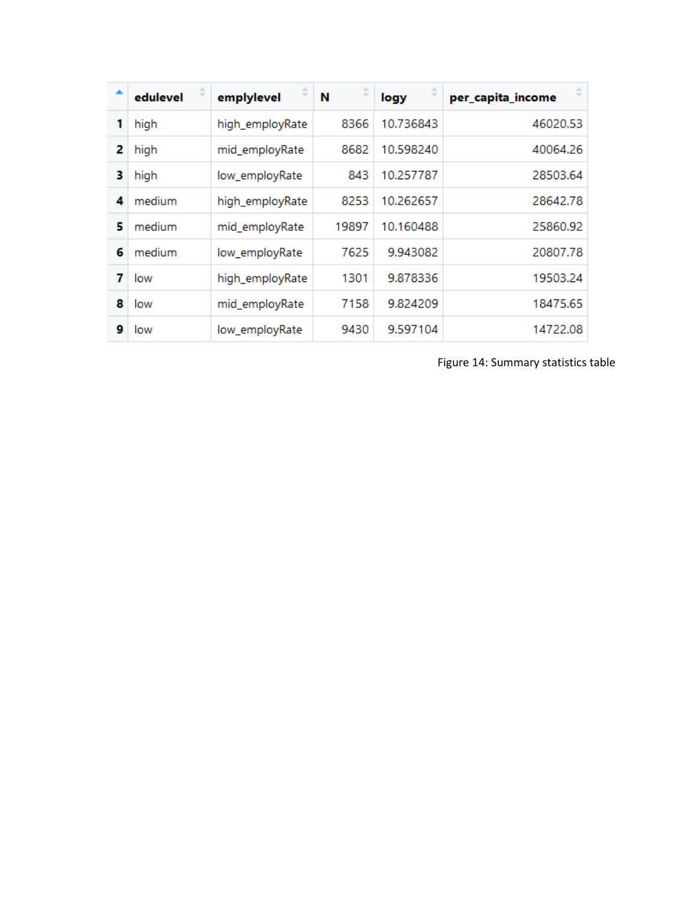|   | edulevel | emplylevel      | N     | logy      | per_capita_income |
|---|----------|-----------------|-------|-----------|-------------------|
| 1 | high     | high_employRate | 8366  | 10.736843 | 46020.53          |
| 2 | high     | mid_employRate  | 8682  | 10.598240 | 40064.26          |
| 3 | high     | low_employRate  | 843   | 10.257787 | 28503.64          |
| 4 | medium   | high_employRate | 8253  | 10.262657 | 28642.78          |
| 5 | medium   | mid_employRate  | 19897 | 10.160488 | 25860.92          |
| 6 | medium   | low_employRate  | 7625  | 9.943082  | 20807.78          |
| 7 | low      | high_employRate | 1301  | 9.878336  | 19503.24          |
| 8 | low      | mid_employRate  | 7158  | 9.824209  | 18475.65          |
| 9 | low      | low_employRate  | 9430  | 9.597104  | 14722.08          |

Figure 14: Summary statistics table